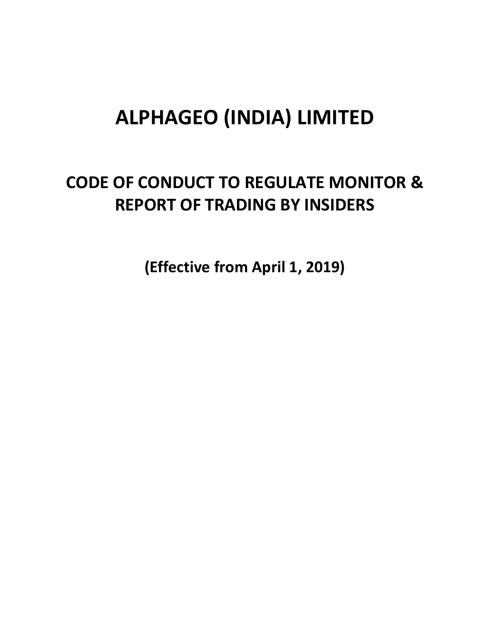# **ALPHAGEO (INDIA) LIMITED**

## **CODE OF CONDUCT TO REGULATE MONITOR & REPORT OF TRADING BY INSIDERS**

**(Effective from April 1, 2019)**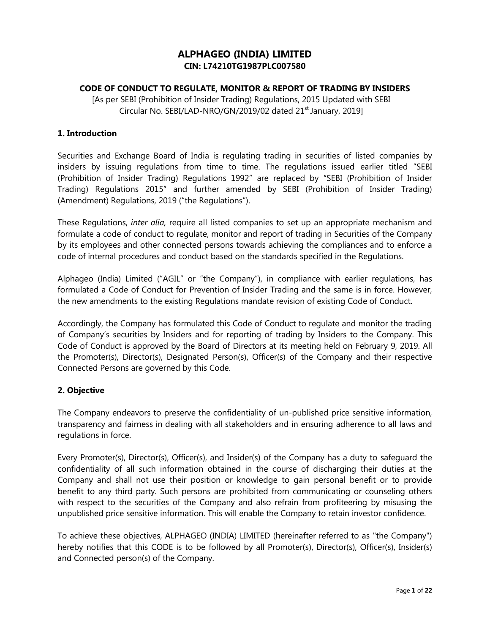## **ALPHAGEO (INDIA) LIMITED CIN: L74210TG1987PLC007580**

## **CODE OF CONDUCT TO REGULATE, MONITOR & REPORT OF TRADING BY INSIDERS**

[As per SEBI (Prohibition of Insider Trading) Regulations, 2015 Updated with SEBI Circular No. SEBI/LAD-NRO/GN/2019/02 dated 21<sup>st</sup> January, 2019]

## **1. Introduction**

Securities and Exchange Board of India is regulating trading in securities of listed companies by insiders by issuing regulations from time to time. The regulations issued earlier titled "SEBI (Prohibition of Insider Trading) Regulations 1992" are replaced by "SEBI (Prohibition of Insider Trading) Regulations 2015" and further amended by SEBI (Prohibition of Insider Trading) (Amendment) Regulations, 2019 ("the Regulations").

These Regulations, *inter alia,* require all listed companies to set up an appropriate mechanism and formulate a code of conduct to regulate, monitor and report of trading in Securities of the Company by its employees and other connected persons towards achieving the compliances and to enforce a code of internal procedures and conduct based on the standards specified in the Regulations.

Alphageo (India) Limited ("AGIL" or "the Company"), in compliance with earlier regulations, has formulated a Code of Conduct for Prevention of Insider Trading and the same is in force. However, the new amendments to the existing Regulations mandate revision of existing Code of Conduct.

Accordingly, the Company has formulated this Code of Conduct to regulate and monitor the trading of Company's securities by Insiders and for reporting of trading by Insiders to the Company. This Code of Conduct is approved by the Board of Directors at its meeting held on February 9, 2019. All the Promoter(s), Director(s), Designated Person(s), Officer(s) of the Company and their respective Connected Persons are governed by this Code.

## **2. Objective**

The Company endeavors to preserve the confidentiality of un-published price sensitive information, transparency and fairness in dealing with all stakeholders and in ensuring adherence to all laws and regulations in force.

Every Promoter(s), Director(s), Officer(s), and Insider(s) of the Company has a duty to safeguard the confidentiality of all such information obtained in the course of discharging their duties at the Company and shall not use their position or knowledge to gain personal benefit or to provide benefit to any third party. Such persons are prohibited from communicating or counseling others with respect to the securities of the Company and also refrain from profiteering by misusing the unpublished price sensitive information. This will enable the Company to retain investor confidence.

To achieve these objectives, ALPHAGEO (INDIA) LIMITED (hereinafter referred to as "the Company") hereby notifies that this CODE is to be followed by all Promoter(s), Director(s), Officer(s), Insider(s) and Connected person(s) of the Company.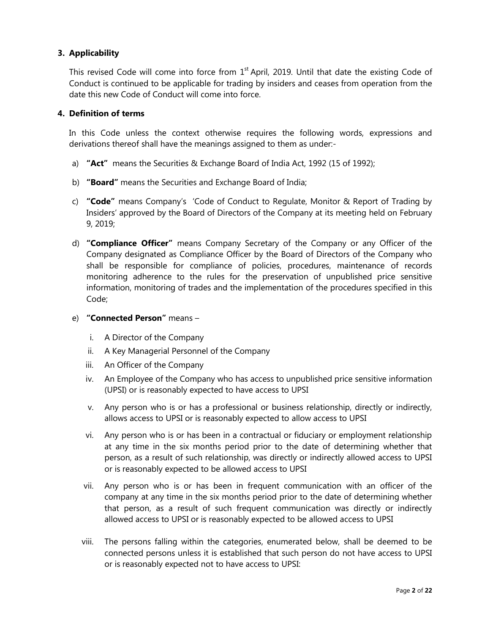## **3. Applicability**

This revised Code will come into force from 1<sup>st</sup> April, 2019. Until that date the existing Code of Conduct is continued to be applicable for trading by insiders and ceases from operation from the date this new Code of Conduct will come into force.

#### **4. Definition of terms**

In this Code unless the context otherwise requires the following words, expressions and derivations thereof shall have the meanings assigned to them as under:-

- a) **"Act"** means the Securities & Exchange Board of India Act, 1992 (15 of 1992);
- b) **"Board"** means the Securities and Exchange Board of India;
- c) **"Code"** means Company"s "Code of Conduct to Regulate, Monitor & Report of Trading by Insiders" approved by the Board of Directors of the Company at its meeting held on February 9, 2019;
- d) **"Compliance Officer"** means Company Secretary of the Company or any Officer of the Company designated as Compliance Officer by the Board of Directors of the Company who shall be responsible for compliance of policies, procedures, maintenance of records monitoring adherence to the rules for the preservation of unpublished price sensitive information, monitoring of trades and the implementation of the procedures specified in this Code;

## e) **"Connected Person"** means –

- i. A Director of the Company
- ii. A Key Managerial Personnel of the Company
- iii. An Officer of the Company
- iv. An Employee of the Company who has access to unpublished price sensitive information (UPSI) or is reasonably expected to have access to UPSI
- v. Any person who is or has a professional or business relationship, directly or indirectly, allows access to UPSI or is reasonably expected to allow access to UPSI
- vi. Any person who is or has been in a contractual or fiduciary or employment relationship at any time in the six months period prior to the date of determining whether that person, as a result of such relationship, was directly or indirectly allowed access to UPSI or is reasonably expected to be allowed access to UPSI
- vii. Any person who is or has been in frequent communication with an officer of the company at any time in the six months period prior to the date of determining whether that person, as a result of such frequent communication was directly or indirectly allowed access to UPSI or is reasonably expected to be allowed access to UPSI
- viii. The persons falling within the categories, enumerated below, shall be deemed to be connected persons unless it is established that such person do not have access to UPSI or is reasonably expected not to have access to UPSI: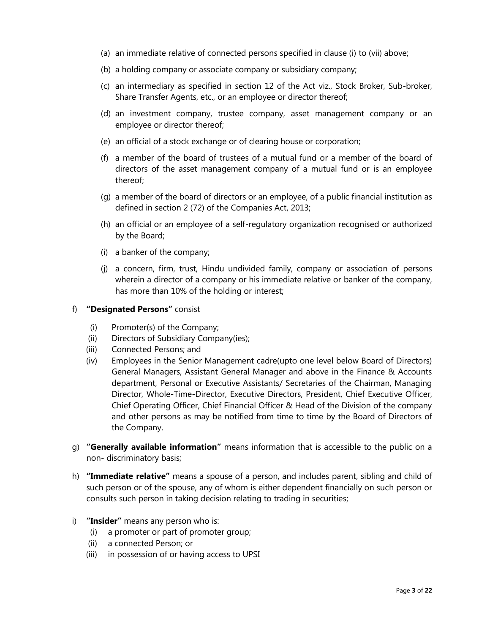- (a) an immediate relative of connected persons specified in clause (i) to (vii) above;
- (b) a holding company or associate company or subsidiary company;
- (c) an intermediary as specified in section 12 of the Act viz., Stock Broker, Sub-broker, Share Transfer Agents, etc., or an employee or director thereof;
- (d) an investment company, trustee company, asset management company or an employee or director thereof;
- (e) an official of a stock exchange or of clearing house or corporation;
- (f) a member of the board of trustees of a mutual fund or a member of the board of directors of the asset management company of a mutual fund or is an employee thereof;
- (g) a member of the board of directors or an employee, of a public financial institution as defined in section 2 (72) of the Companies Act, 2013;
- (h) an official or an employee of a self-regulatory organization recognised or authorized by the Board;
- (i) a banker of the company;
- (j) a concern, firm, trust, Hindu undivided family, company or association of persons wherein a director of a company or his immediate relative or banker of the company, has more than 10% of the holding or interest;

#### f) **"Designated Persons"** consist

- (i) Promoter(s) of the Company;
- (ii) Directors of Subsidiary Company(ies);
- (iii) Connected Persons; and
- (iv) Employees in the Senior Management cadre(upto one level below Board of Directors) General Managers, Assistant General Manager and above in the Finance & Accounts department, Personal or Executive Assistants/ Secretaries of the Chairman, Managing Director, Whole-Time-Director, Executive Directors, President, Chief Executive Officer, Chief Operating Officer, Chief Financial Officer & Head of the Division of the company and other persons as may be notified from time to time by the Board of Directors of the Company.
- g) **"Generally available information"** means information that is accessible to the public on a non- discriminatory basis;
- h) **"Immediate relative"** means a spouse of a person, and includes parent, sibling and child of such person or of the spouse, any of whom is either dependent financially on such person or consults such person in taking decision relating to trading in securities;
- i) **"Insider"** means any person who is:
	- (i) a promoter or part of promoter group;
	- (ii) a connected Person; or
	- (iii) in possession of or having access to UPSI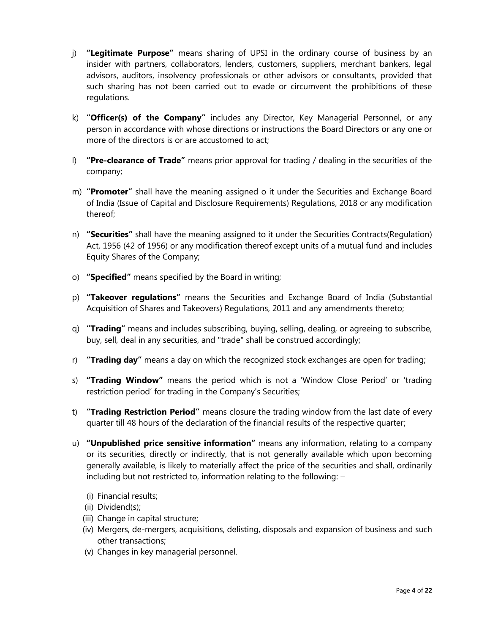- j) **"Legitimate Purpose"** means sharing of UPSI in the ordinary course of business by an insider with partners, collaborators, lenders, customers, suppliers, merchant bankers, legal advisors, auditors, insolvency professionals or other advisors or consultants, provided that such sharing has not been carried out to evade or circumvent the prohibitions of these regulations.
- k) **"Officer(s) of the Company"** includes any Director, Key Managerial Personnel, or any person in accordance with whose directions or instructions the Board Directors or any one or more of the directors is or are accustomed to act;
- l) **"Pre-clearance of Trade"** means prior approval for trading / dealing in the securities of the company;
- m) **"Promoter"** shall have the meaning assigned o it under the Securities and Exchange Board of India (Issue of Capital and Disclosure Requirements) Regulations, 2018 or any modification thereof;
- n) **"Securities"** shall have the meaning assigned to it under the Securities Contracts(Regulation) Act, 1956 (42 of 1956) or any modification thereof except units of a mutual fund and includes Equity Shares of the Company;
- o) **"Specified"** means specified by the Board in writing;
- p) **"Takeover regulations"** means the Securities and Exchange Board of India (Substantial Acquisition of Shares and Takeovers) Regulations, 2011 and any amendments thereto;
- q) **"Trading"** means and includes subscribing, buying, selling, dealing, or agreeing to subscribe, buy, sell, deal in any securities, and "trade" shall be construed accordingly;
- r) **"Trading day"** means a day on which the recognized stock exchanges are open for trading;
- s) **"Trading Window"** means the period which is not a "Window Close Period" or "trading restriction period' for trading in the Company's Securities;
- t) **"Trading Restriction Period"** means closure the trading window from the last date of every quarter till 48 hours of the declaration of the financial results of the respective quarter;
- u) **"Unpublished price sensitive information"** means any information, relating to a company or its securities, directly or indirectly, that is not generally available which upon becoming generally available, is likely to materially affect the price of the securities and shall, ordinarily including but not restricted to, information relating to the following: –
	- (i) Financial results;
	- (ii) Dividend(s);
	- (iii) Change in capital structure;
	- (iv) Mergers, de-mergers, acquisitions, delisting, disposals and expansion of business and such other transactions;
	- (v) Changes in key managerial personnel.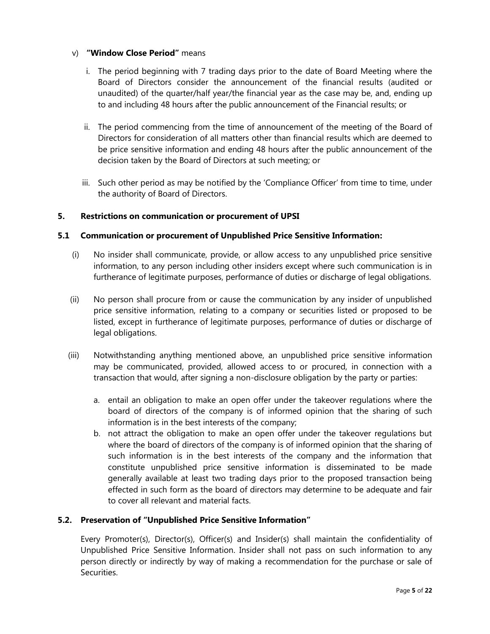## v) **"Window Close Period"** means

- i. The period beginning with 7 trading days prior to the date of Board Meeting where the Board of Directors consider the announcement of the financial results (audited or unaudited) of the quarter/half year/the financial year as the case may be, and, ending up to and including 48 hours after the public announcement of the Financial results; or
- ii. The period commencing from the time of announcement of the meeting of the Board of Directors for consideration of all matters other than financial results which are deemed to be price sensitive information and ending 48 hours after the public announcement of the decision taken by the Board of Directors at such meeting; or
- iii. Such other period as may be notified by the "Compliance Officer" from time to time, under the authority of Board of Directors.

## **5. Restrictions on communication or procurement of UPSI**

## **5.1 Communication or procurement of Unpublished Price Sensitive Information:**

- (i) No insider shall communicate, provide, or allow access to any unpublished price sensitive information, to any person including other insiders except where such communication is in furtherance of legitimate purposes, performance of duties or discharge of legal obligations.
- (ii) No person shall procure from or cause the communication by any insider of unpublished price sensitive information, relating to a company or securities listed or proposed to be listed, except in furtherance of legitimate purposes, performance of duties or discharge of legal obligations.
- (iii) Notwithstanding anything mentioned above, an unpublished price sensitive information may be communicated, provided, allowed access to or procured, in connection with a transaction that would, after signing a non-disclosure obligation by the party or parties:
	- a. entail an obligation to make an open offer under the takeover regulations where the board of directors of the company is of informed opinion that the sharing of such information is in the best interests of the company;
	- b. not attract the obligation to make an open offer under the takeover regulations but where the board of directors of the company is of informed opinion that the sharing of such information is in the best interests of the company and the information that constitute unpublished price sensitive information is disseminated to be made generally available at least two trading days prior to the proposed transaction being effected in such form as the board of directors may determine to be adequate and fair to cover all relevant and material facts.

## **5.2. Preservation of "Unpublished Price Sensitive Information"**

Every Promoter(s), Director(s), Officer(s) and Insider(s) shall maintain the confidentiality of Unpublished Price Sensitive Information. Insider shall not pass on such information to any person directly or indirectly by way of making a recommendation for the purchase or sale of Securities.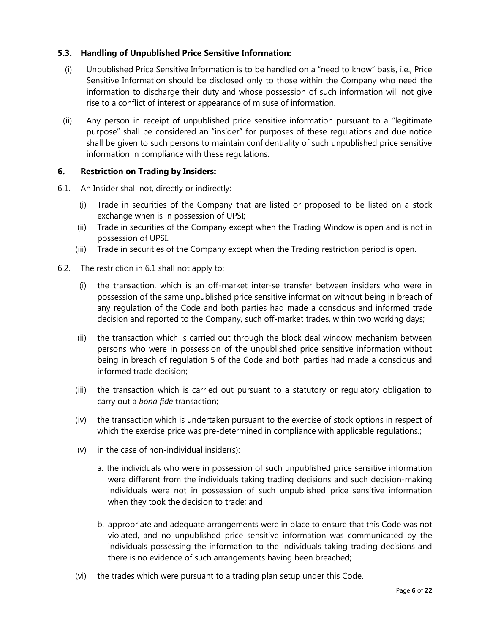## **5.3. Handling of Unpublished Price Sensitive Information:**

- (i) Unpublished Price Sensitive Information is to be handled on a "need to know" basis, i.e., Price Sensitive Information should be disclosed only to those within the Company who need the information to discharge their duty and whose possession of such information will not give rise to a conflict of interest or appearance of misuse of information.
- (ii) Any person in receipt of unpublished price sensitive information pursuant to a "legitimate purpose" shall be considered an "insider" for purposes of these regulations and due notice shall be given to such persons to maintain confidentiality of such unpublished price sensitive information in compliance with these regulations.

#### **6. Restriction on Trading by Insiders:**

- 6.1. An Insider shall not, directly or indirectly:
	- (i) Trade in securities of the Company that are listed or proposed to be listed on a stock exchange when is in possession of UPSI;
	- (ii) Trade in securities of the Company except when the Trading Window is open and is not in possession of UPSI.
	- (iii) Trade in securities of the Company except when the Trading restriction period is open.
- 6.2. The restriction in 6.1 shall not apply to:
	- (i) the transaction, which is an off-market inter-se transfer between insiders who were in possession of the same unpublished price sensitive information without being in breach of any regulation of the Code and both parties had made a conscious and informed trade decision and reported to the Company, such off-market trades, within two working days;
	- (ii) the transaction which is carried out through the block deal window mechanism between persons who were in possession of the unpublished price sensitive information without being in breach of regulation 5 of the Code and both parties had made a conscious and informed trade decision;
	- (iii) the transaction which is carried out pursuant to a statutory or regulatory obligation to carry out a *bona fide* transaction;
	- (iv) the transaction which is undertaken pursuant to the exercise of stock options in respect of which the exercise price was pre-determined in compliance with applicable regulations.;
	- (v) in the case of non-individual insider(s):
		- a. the individuals who were in possession of such unpublished price sensitive information were different from the individuals taking trading decisions and such decision-making individuals were not in possession of such unpublished price sensitive information when they took the decision to trade; and
		- b. appropriate and adequate arrangements were in place to ensure that this Code was not violated, and no unpublished price sensitive information was communicated by the individuals possessing the information to the individuals taking trading decisions and there is no evidence of such arrangements having been breached;
	- (vi) the trades which were pursuant to a trading plan setup under this Code.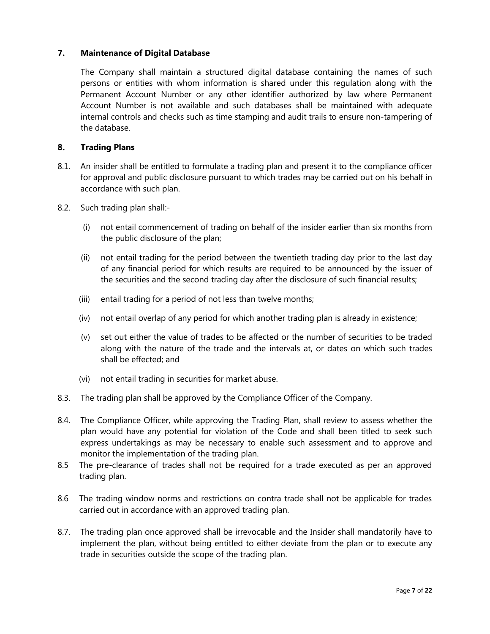## **7. Maintenance of Digital Database**

The Company shall maintain a structured digital database containing the names of such persons or entities with whom information is shared under this regulation along with the Permanent Account Number or any other identifier authorized by law where Permanent Account Number is not available and such databases shall be maintained with adequate internal controls and checks such as time stamping and audit trails to ensure non-tampering of the database.

### **8. Trading Plans**

- 8.1. An insider shall be entitled to formulate a trading plan and present it to the compliance officer for approval and public disclosure pursuant to which trades may be carried out on his behalf in accordance with such plan.
- 8.2. Such trading plan shall:-
	- (i) not entail commencement of trading on behalf of the insider earlier than six months from the public disclosure of the plan;
	- (ii) not entail trading for the period between the twentieth trading day prior to the last day of any financial period for which results are required to be announced by the issuer of the securities and the second trading day after the disclosure of such financial results;
	- (iii) entail trading for a period of not less than twelve months;
	- (iv) not entail overlap of any period for which another trading plan is already in existence;
	- (v) set out either the value of trades to be affected or the number of securities to be traded along with the nature of the trade and the intervals at, or dates on which such trades shall be effected; and
	- (vi) not entail trading in securities for market abuse.
- 8.3. The trading plan shall be approved by the Compliance Officer of the Company.
- 8.4. The Compliance Officer, while approving the Trading Plan, shall review to assess whether the plan would have any potential for violation of the Code and shall been titled to seek such express undertakings as may be necessary to enable such assessment and to approve and monitor the implementation of the trading plan.
- 8.5 The pre-clearance of trades shall not be required for a trade executed as per an approved trading plan.
- 8.6 The trading window norms and restrictions on contra trade shall not be applicable for trades carried out in accordance with an approved trading plan.
- 8.7. The trading plan once approved shall be irrevocable and the Insider shall mandatorily have to implement the plan, without being entitled to either deviate from the plan or to execute any trade in securities outside the scope of the trading plan.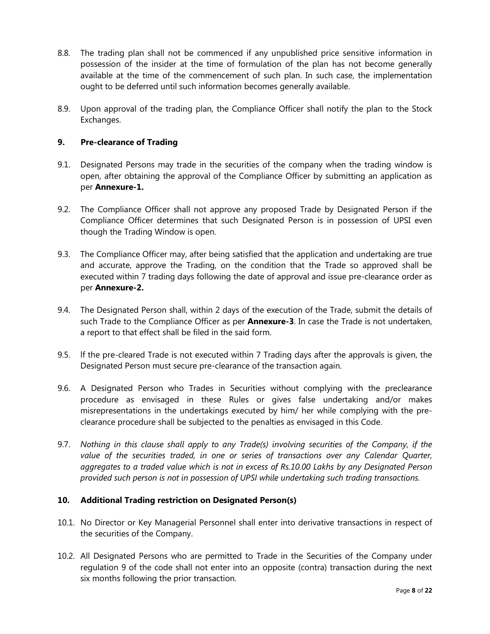- 8.8. The trading plan shall not be commenced if any unpublished price sensitive information in possession of the insider at the time of formulation of the plan has not become generally available at the time of the commencement of such plan. In such case, the implementation ought to be deferred until such information becomes generally available.
- 8.9. Upon approval of the trading plan, the Compliance Officer shall notify the plan to the Stock Exchanges.

## **9. Pre-clearance of Trading**

- 9.1. Designated Persons may trade in the securities of the company when the trading window is open, after obtaining the approval of the Compliance Officer by submitting an application as per **Annexure-1.**
- 9.2. The Compliance Officer shall not approve any proposed Trade by Designated Person if the Compliance Officer determines that such Designated Person is in possession of UPSI even though the Trading Window is open.
- 9.3. The Compliance Officer may, after being satisfied that the application and undertaking are true and accurate, approve the Trading, on the condition that the Trade so approved shall be executed within 7 trading days following the date of approval and issue pre-clearance order as per **Annexure-2.**
- 9.4. The Designated Person shall, within 2 days of the execution of the Trade, submit the details of such Trade to the Compliance Officer as per **Annexure-3**. In case the Trade is not undertaken, a report to that effect shall be filed in the said form.
- 9.5. lf the pre-cleared Trade is not executed within 7 Trading days after the approvals is given, the Designated Person must secure pre-clearance of the transaction again.
- 9.6. A Designated Person who Trades in Securities without complying with the preclearance procedure as envisaged in these Rules or gives false undertaking and/or makes misrepresentations in the undertakings executed by him/ her while complying with the preclearance procedure shall be subjected to the penalties as envisaged in this Code.
- 9.7. *Nothing in this clause shall apply to any Trade(s) involving securities of the Company, if the value of the securities traded, in one or series of transactions over any Calendar Quarter, aggregates to a traded value which is not in excess of Rs.10.00 Lakhs by any Designated Person provided such person is not in possession of UPSI while undertaking such trading transactions.*

#### **10. Additional Trading restriction on Designated Person(s)**

- 10.1. No Director or Key Managerial Personnel shall enter into derivative transactions in respect of the securities of the Company.
- 10.2. All Designated Persons who are permitted to Trade in the Securities of the Company under regulation 9 of the code shall not enter into an opposite (contra) transaction during the next six months following the prior transaction.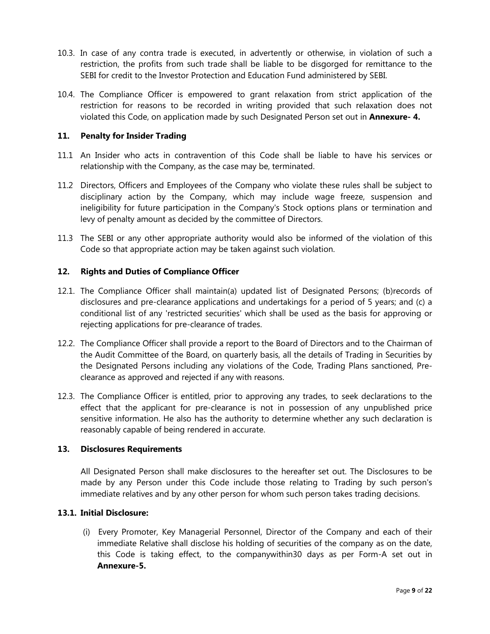- 10.3. In case of any contra trade is executed, in advertently or otherwise, in violation of such a restriction, the profits from such trade shall be liable to be disgorged for remittance to the SEBI for credit to the Investor Protection and Education Fund administered by SEBI.
- 10.4. The Compliance Officer is empowered to grant relaxation from strict application of the restriction for reasons to be recorded in writing provided that such relaxation does not violated this Code, on application made by such Designated Person set out in **Annexure- 4.**

#### **11. Penalty for Insider Trading**

- 11.1 An Insider who acts in contravention of this Code shall be liable to have his services or relationship with the Company, as the case may be, terminated.
- 11.2 Directors, Officers and Employees of the Company who violate these rules shall be subject to disciplinary action by the Company, which may include wage freeze, suspension and ineligibility for future participation in the Company's Stock options plans or termination and levy of penalty amount as decided by the committee of Directors.
- 11.3 The SEBI or any other appropriate authority would also be informed of the violation of this Code so that appropriate action may be taken against such violation.

## **12. Rights and Duties of Compliance Officer**

- 12.1. The Compliance Officer shall maintain(a) updated list of Designated Persons; (b)records of disclosures and pre-clearance applications and undertakings for a period of 5 years; and (c) a conditional list of any 'restricted securities' which shall be used as the basis for approving or rejecting applications for pre-clearance of trades.
- 12.2. The Compliance Officer shall provide a report to the Board of Directors and to the Chairman of the Audit Committee of the Board, on quarterly basis, all the details of Trading in Securities by the Designated Persons including any violations of the Code, Trading Plans sanctioned, Preclearance as approved and rejected if any with reasons.
- 12.3. The Compliance Officer is entitled, prior to approving any trades, to seek declarations to the effect that the applicant for pre-clearance is not in possession of any unpublished price sensitive information. He also has the authority to determine whether any such declaration is reasonably capable of being rendered in accurate.

#### **13. Disclosures Requirements**

All Designated Person shall make disclosures to the hereafter set out. The Disclosures to be made by any Person under this Code include those relating to Trading by such person's immediate relatives and by any other person for whom such person takes trading decisions.

#### **13.1. Initial Disclosure:**

(i) Every Promoter, Key Managerial Personnel, Director of the Company and each of their immediate Relative shall disclose his holding of securities of the company as on the date, this Code is taking effect, to the companywithin30 days as per Form-A set out in **Annexure-5.**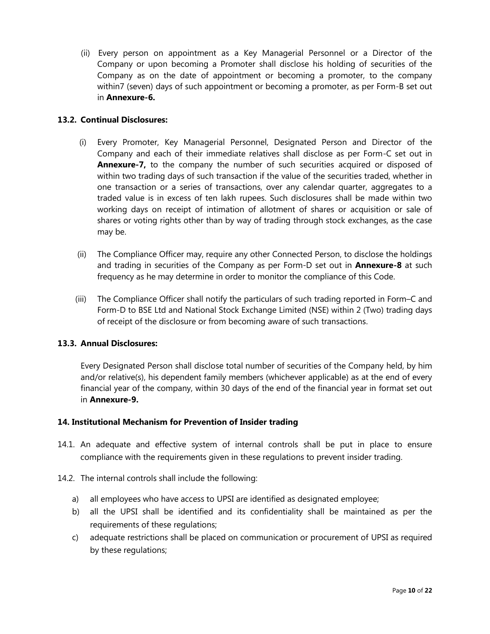(ii) Every person on appointment as a Key Managerial Personnel or a Director of the Company or upon becoming a Promoter shall disclose his holding of securities of the Company as on the date of appointment or becoming a promoter, to the company within7 (seven) days of such appointment or becoming a promoter, as per Form-B set out in **Annexure-6.**

## **13.2. Continual Disclosures:**

- (i) Every Promoter, Key Managerial Personnel, Designated Person and Director of the Company and each of their immediate relatives shall disclose as per Form-C set out in **Annexure-7,** to the company the number of such securities acquired or disposed of within two trading days of such transaction if the value of the securities traded, whether in one transaction or a series of transactions, over any calendar quarter, aggregates to a traded value is in excess of ten lakh rupees. Such disclosures shall be made within two working days on receipt of intimation of allotment of shares or acquisition or sale of shares or voting rights other than by way of trading through stock exchanges, as the case may be.
- (ii) The Compliance Officer may, require any other Connected Person, to disclose the holdings and trading in securities of the Company as per Form-D set out in **Annexure-8** at such frequency as he may determine in order to monitor the compliance of this Code.
- (iii) The Compliance Officer shall notify the particulars of such trading reported in Form–C and Form-D to BSE Ltd and National Stock Exchange Limited (NSE) within 2 (Two) trading days of receipt of the disclosure or from becoming aware of such transactions.

## **13.3. Annual Disclosures:**

Every Designated Person shall disclose total number of securities of the Company held, by him and/or relative(s), his dependent family members (whichever applicable) as at the end of every financial year of the company, within 30 days of the end of the financial year in format set out in **Annexure-9.**

#### **14. Institutional Mechanism for Prevention of Insider trading**

- 14.1. An adequate and effective system of internal controls shall be put in place to ensure compliance with the requirements given in these regulations to prevent insider trading.
- 14.2. The internal controls shall include the following:
	- a) all employees who have access to UPSI are identified as designated employee;
	- b) all the UPSI shall be identified and its confidentiality shall be maintained as per the requirements of these regulations;
	- c) adequate restrictions shall be placed on communication or procurement of UPSI as required by these regulations;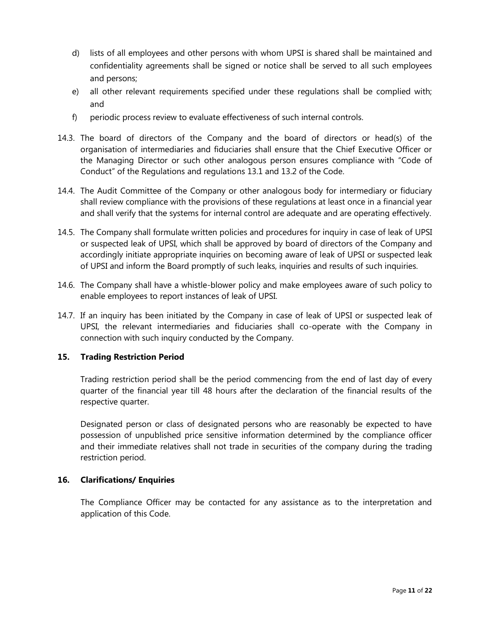- d) lists of all employees and other persons with whom UPSI is shared shall be maintained and confidentiality agreements shall be signed or notice shall be served to all such employees and persons;
- e) all other relevant requirements specified under these regulations shall be complied with; and
- f) periodic process review to evaluate effectiveness of such internal controls.
- 14.3. The board of directors of the Company and the board of directors or head(s) of the organisation of intermediaries and fiduciaries shall ensure that the Chief Executive Officer or the Managing Director or such other analogous person ensures compliance with "Code of Conduct" of the Regulations and regulations 13.1 and 13.2 of the Code.
- 14.4. The Audit Committee of the Company or other analogous body for intermediary or fiduciary shall review compliance with the provisions of these regulations at least once in a financial year and shall verify that the systems for internal control are adequate and are operating effectively.
- 14.5. The Company shall formulate written policies and procedures for inquiry in case of leak of UPSI or suspected leak of UPSI, which shall be approved by board of directors of the Company and accordingly initiate appropriate inquiries on becoming aware of leak of UPSI or suspected leak of UPSI and inform the Board promptly of such leaks, inquiries and results of such inquiries.
- 14.6. The Company shall have a whistle-blower policy and make employees aware of such policy to enable employees to report instances of leak of UPSI.
- 14.7. If an inquiry has been initiated by the Company in case of leak of UPSI or suspected leak of UPSI, the relevant intermediaries and fiduciaries shall co-operate with the Company in connection with such inquiry conducted by the Company.

## **15. Trading Restriction Period**

Trading restriction period shall be the period commencing from the end of last day of every quarter of the financial year till 48 hours after the declaration of the financial results of the respective quarter.

Designated person or class of designated persons who are reasonably be expected to have possession of unpublished price sensitive information determined by the compliance officer and their immediate relatives shall not trade in securities of the company during the trading restriction period.

#### **16. Clarifications/ Enquiries**

The Compliance Officer may be contacted for any assistance as to the interpretation and application of this Code.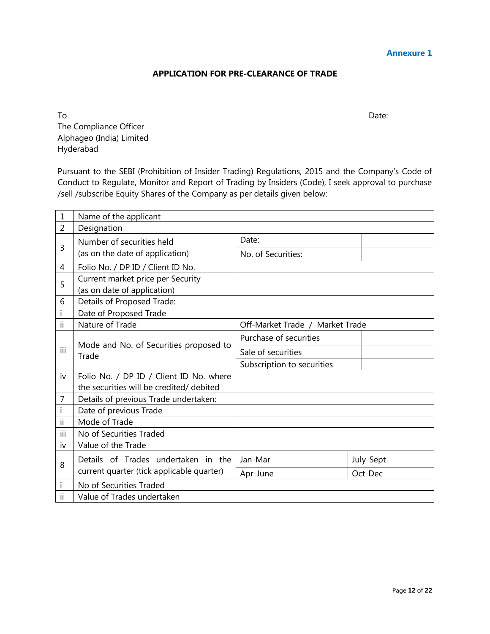Page **12** of **22**

## **Annexure 1**

## **APPLICATION FOR PRE-CLEARANCE OF TRADE**

To Date: The Compliance Officer Alphageo (India) Limited Hyderabad

Pursuant to the SEBI (Prohibition of Insider Trading) Regulations, 2015 and the Company"s Code of Conduct to Regulate, Monitor and Report of Trading by Insiders (Code), I seek approval to purchase /sell /subscribe Equity Shares of the Company as per details given below:

| $\mathbf{1}$   | Name of the applicant                                            |                                 |           |
|----------------|------------------------------------------------------------------|---------------------------------|-----------|
| $\overline{2}$ | Designation                                                      |                                 |           |
| 3              | Number of securities held                                        | Date:                           |           |
|                | (as on the date of application)                                  | No. of Securities:              |           |
| $\overline{4}$ | Folio No. / DP ID / Client ID No.                                |                                 |           |
| 5              | Current market price per Security<br>(as on date of application) |                                 |           |
| 6              | Details of Proposed Trade:                                       |                                 |           |
| i              | Date of Proposed Trade                                           |                                 |           |
| Ш              | Nature of Trade                                                  | Off-Market Trade / Market Trade |           |
|                | Mode and No. of Securities proposed to                           | Purchase of securities          |           |
| iii            | Trade                                                            | Sale of securities              |           |
|                |                                                                  | Subscription to securities      |           |
| iv             | Folio No. / DP ID / Client ID No. where                          |                                 |           |
|                | the securities will be credited/ debited                         |                                 |           |
| 7              | Details of previous Trade undertaken:                            |                                 |           |
| $\mathbf{I}$   | Date of previous Trade                                           |                                 |           |
| ii             | Mode of Trade                                                    |                                 |           |
| iii            | No of Securities Traded                                          |                                 |           |
| iv             | Value of the Trade                                               |                                 |           |
| 8              | Details of Trades undertaken in the                              | Jan-Mar                         | July-Sept |
|                | current quarter (tick applicable quarter)                        | Apr-June                        | Oct-Dec   |
| i              | No of Securities Traded                                          |                                 |           |
| ii             | Value of Trades undertaken                                       |                                 |           |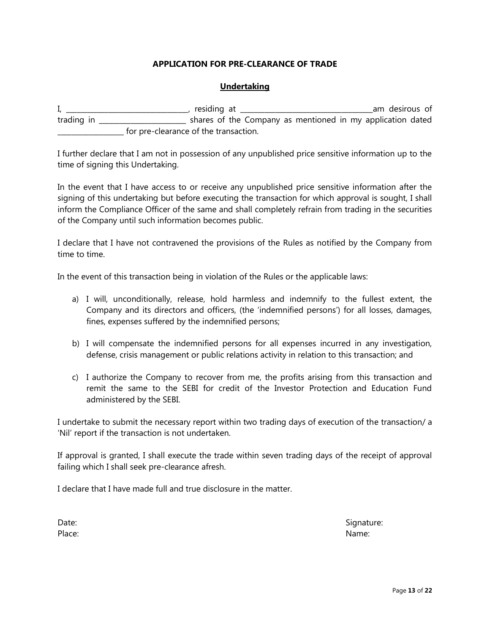## **APPLICATION FOR PRE-CLEARANCE OF TRADE**

#### **Undertaking**

I, \_\_\_\_\_\_\_\_\_\_\_\_\_\_\_\_\_\_\_\_\_\_\_\_\_\_\_\_\_\_\_\_\_\_\_, residing at \_\_\_\_\_\_\_\_\_\_\_\_\_\_\_\_\_\_\_\_\_\_\_\_\_\_\_\_\_\_\_\_\_\_\_\_\_\_am desirous of trading in trading in the Shares of the Company as mentioned in my application dated for pre-clearance of the transaction.

I further declare that I am not in possession of any unpublished price sensitive information up to the time of signing this Undertaking.

In the event that I have access to or receive any unpublished price sensitive information after the signing of this undertaking but before executing the transaction for which approval is sought, I shall inform the Compliance Officer of the same and shall completely refrain from trading in the securities of the Company until such information becomes public.

I declare that I have not contravened the provisions of the Rules as notified by the Company from time to time.

In the event of this transaction being in violation of the Rules or the applicable laws:

- a) I will, unconditionally, release, hold harmless and indemnify to the fullest extent, the Company and its directors and officers, (the "indemnified persons") for all losses, damages, fines, expenses suffered by the indemnified persons;
- b) I will compensate the indemnified persons for all expenses incurred in any investigation, defense, crisis management or public relations activity in relation to this transaction; and
- c) I authorize the Company to recover from me, the profits arising from this transaction and remit the same to the SEBI for credit of the Investor Protection and Education Fund administered by the SEBI.

I undertake to submit the necessary report within two trading days of execution of the transaction/ a 'Nil' report if the transaction is not undertaken.

If approval is granted, I shall execute the trade within seven trading days of the receipt of approval failing which I shall seek pre-clearance afresh.

I declare that I have made full and true disclosure in the matter.

Date: Signature: Signature: Signature: Signature: Signature: Signature: Signature: Signature: Signature: Signature: Signature: Signature: Signature: Signature: Signature: Signature: Signature: Signature: Signature: Signatu Place: Name: Name: Name: Name: Name: Name: Name: Name: Name: Name: Name: Name: Name: Name: Name: Name: Name: Name: Name: Name: Name: Name: Name: Name: Name: Name: Name: Name: Name: Name: Name: Name: Name: Name: Name: Name: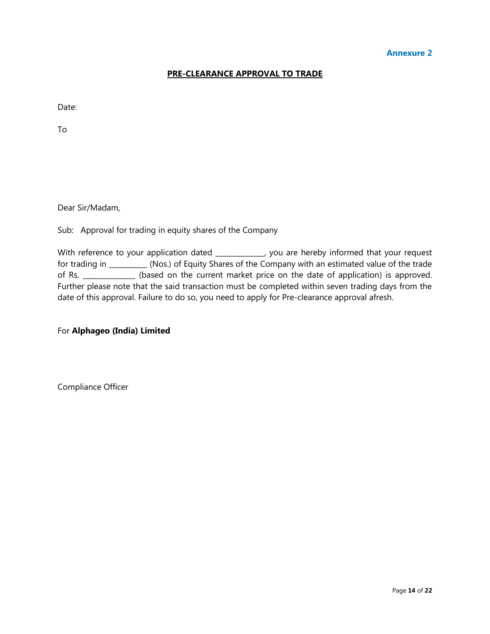#### **PRE-CLEARANCE APPROVAL TO TRADE**

Date:

To

Dear Sir/Madam,

Sub: Approval for trading in equity shares of the Company

With reference to your application dated \_\_\_\_\_\_\_\_\_\_\_, you are hereby informed that your request for trading in \_\_\_\_\_\_\_\_\_\_\_ (Nos.) of Equity Shares of the Company with an estimated value of the trade of Rs. \_\_\_\_\_\_\_\_\_\_\_\_\_ (based on the current market price on the date of application) is approved. Further please note that the said transaction must be completed within seven trading days from the date of this approval. Failure to do so, you need to apply for Pre-clearance approval afresh.

For **Alphageo (India) Limited**

Compliance Officer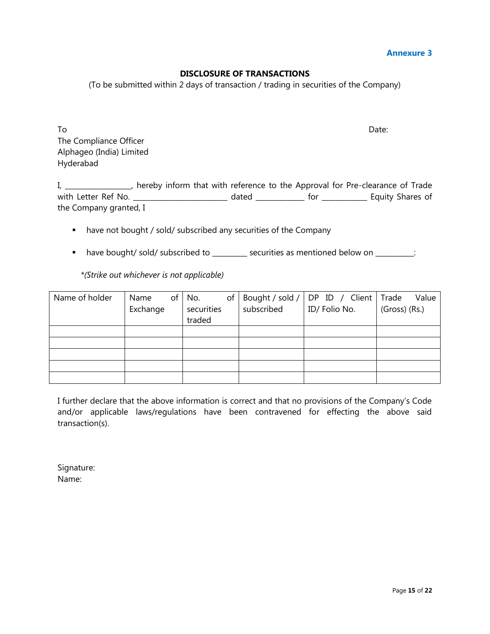#### Page **15** of **22**

#### **DISCLOSURE OF TRANSACTIONS**

(To be submitted within 2 days of transaction / trading in securities of the Company)

To Date: The Compliance Officer Alphageo (India) Limited Hyderabad

I, \_\_\_\_\_\_\_\_\_\_\_\_\_\_\_, hereby inform that with reference to the Approval for Pre-clearance of Trade with Letter Ref No. \_\_\_\_\_\_\_\_\_\_\_\_\_\_\_\_\_\_\_\_\_\_\_\_\_\_\_ dated \_\_\_\_\_\_\_\_\_\_\_\_\_\_ for \_\_\_\_\_\_\_\_\_\_\_\_\_ Equity Shares of the Company granted, I

- **•** have not bought / sold/ subscribed any securities of the Company
- have bought/ sold/ subscribed to \_\_\_\_\_\_\_\_\_ securities as mentioned below on \_\_\_\_\_\_\_\_\_:

*\*(Strike out whichever is not applicable)*

| Name of holder | Name<br>Exchange | of | No.<br>securities<br>traded | of | subscribed | Bought / sold / $\vert$ DP ID / Client $\vert$ Trade<br>ID/Folio No. | Value<br>(Gross) (Rs.) |
|----------------|------------------|----|-----------------------------|----|------------|----------------------------------------------------------------------|------------------------|
|                |                  |    |                             |    |            |                                                                      |                        |
|                |                  |    |                             |    |            |                                                                      |                        |
|                |                  |    |                             |    |            |                                                                      |                        |
|                |                  |    |                             |    |            |                                                                      |                        |
|                |                  |    |                             |    |            |                                                                      |                        |

I further declare that the above information is correct and that no provisions of the Company"s Code and/or applicable laws/regulations have been contravened for effecting the above said transaction(s).

Signature: Name:

**Annexure 3**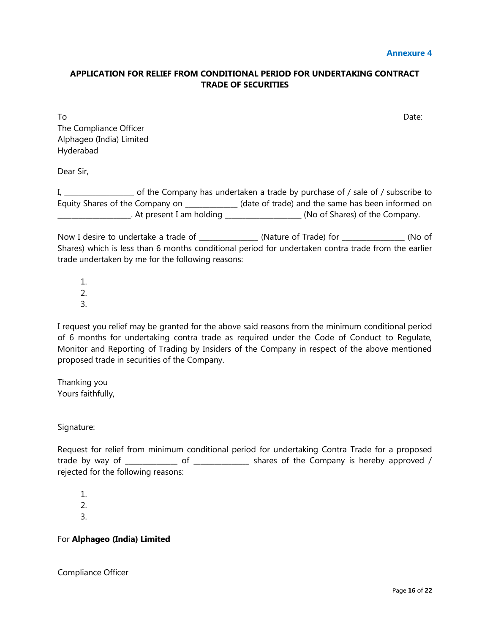## **APPLICATION FOR RELIEF FROM CONDITIONAL PERIOD FOR UNDERTAKING CONTRACT TRADE OF SECURITIES**

To Date: The Compliance Officer Alphageo (India) Limited Hyderabad

Dear Sir,

I, \_\_\_\_\_\_\_\_\_\_\_\_\_\_\_\_\_\_\_\_\_\_\_\_\_\_ of the Company has undertaken a trade by purchase of / sale of / subscribe to Equity Shares of the Company on \_\_\_\_\_\_\_\_\_\_\_\_\_\_ (date of trade) and the same has been informed on \_\_\_\_\_\_\_\_\_\_\_\_\_\_\_\_\_\_\_\_\_. At present I am holding \_\_\_\_\_\_\_\_\_\_\_\_\_\_\_\_\_\_\_\_\_\_ (No of Shares) of the Company.

Now I desire to undertake a trade of \_\_\_\_\_\_\_\_\_\_\_\_\_\_\_\_\_ (Nature of Trade) for \_\_\_\_\_\_\_\_\_\_\_\_\_\_\_\_\_ (No of Shares) which is less than 6 months conditional period for undertaken contra trade from the earlier trade undertaken by me for the following reasons:

1. 2. 3.

I request you relief may be granted for the above said reasons from the minimum conditional period of 6 months for undertaking contra trade as required under the Code of Conduct to Regulate, Monitor and Reporting of Trading by Insiders of the Company in respect of the above mentioned proposed trade in securities of the Company.

Thanking you Yours faithfully,

Signature:

Request for relief from minimum conditional period for undertaking Contra Trade for a proposed trade by way of \_\_\_\_\_\_\_\_\_\_\_\_\_\_ of \_\_\_\_\_\_\_\_\_\_\_\_\_\_\_\_ shares of the Company is hereby approved / rejected for the following reasons:

1.

2. 3.

#### For **Alphageo (India) Limited**

Compliance Officer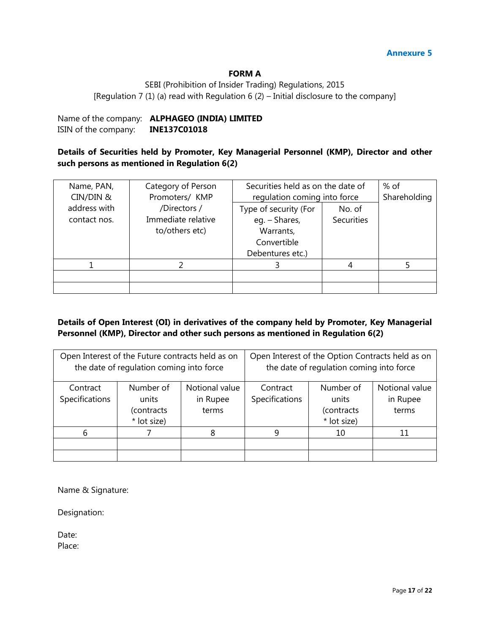## **Annexure 5**

#### **FORM A**

SEBI (Prohibition of Insider Trading) Regulations, 2015 [Regulation 7 (1) (a) read with Regulation 6 (2) – Initial disclosure to the company]

Name of the company: **ALPHAGEO (INDIA) LIMITED** ISIN of the company: **INE137C01018**

## **Details of Securities held by Promoter, Key Managerial Personnel (KMP), Director and other such persons as mentioned in Regulation 6(2)**

| Name, PAN,   | Category of Person | Securities held as on the date of |                   | % of         |
|--------------|--------------------|-----------------------------------|-------------------|--------------|
| CIN/DIN &    | Promoters/ KMP     | regulation coming into force      |                   | Shareholding |
| address with | /Directors/        | Type of security (For             | No. of            |              |
| contact nos. | Immediate relative | eg. – Shares,                     | <b>Securities</b> |              |
|              | to/others etc)     | Warrants,                         |                   |              |
|              |                    | Convertible                       |                   |              |
|              |                    | Debentures etc.)                  |                   |              |
|              |                    |                                   |                   |              |
|              |                    |                                   |                   |              |
|              |                    |                                   |                   |              |

## **Details of Open Interest (OI) in derivatives of the company held by Promoter, Key Managerial Personnel (KMP), Director and other such persons as mentioned in Regulation 6(2)**

| Open Interest of the Future contracts held as on<br>the date of regulation coming into force |             |                |                | Open Interest of the Option Contracts held as on<br>the date of regulation coming into force |                |
|----------------------------------------------------------------------------------------------|-------------|----------------|----------------|----------------------------------------------------------------------------------------------|----------------|
| Contract                                                                                     | Number of   | Notional value | Contract       | Number of                                                                                    | Notional value |
| Specifications                                                                               | units       | in Rupee       | Specifications | units                                                                                        | in Rupee       |
|                                                                                              | (contracts  | terms          |                | (contracts                                                                                   | terms          |
|                                                                                              | * lot size) |                |                | * lot size)                                                                                  |                |
| 6                                                                                            |             |                | 9              | 10                                                                                           | 11             |
|                                                                                              |             |                |                |                                                                                              |                |
|                                                                                              |             |                |                |                                                                                              |                |

Name & Signature:

Designation:

Date: Place: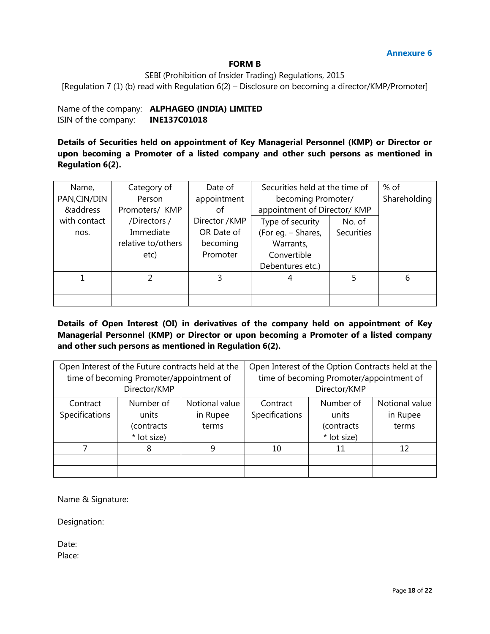#### **FORM B**

#### SEBI (Prohibition of Insider Trading) Regulations, 2015

[Regulation 7 (1) (b) read with Regulation 6(2) – Disclosure on becoming a director/KMP/Promoter]

Name of the company: **ALPHAGEO (INDIA) LIMITED** ISIN of the company: **INE137C01018**

**Details of Securities held on appointment of Key Managerial Personnel (KMP) or Director or upon becoming a Promoter of a listed company and other such persons as mentioned in Regulation 6(2).**

| Name,        | Category of                                 | Date of        | Securities held at the time of |                              | % of |
|--------------|---------------------------------------------|----------------|--------------------------------|------------------------------|------|
| PAN, CIN/DIN | Person<br>appointment<br>becoming Promoter/ |                |                                | Shareholding                 |      |
| &address     | Promoters/ KMP                              | οf             |                                | appointment of Director/ KMP |      |
| with contact | /Directors/                                 | Director / KMP | Type of security               | No. of                       |      |
| nos.         | Immediate                                   | OR Date of     | (For eg. - Shares,             | Securities                   |      |
|              | relative to/others                          | becoming       | Warrants,                      |                              |      |
|              | etc)                                        | Promoter       | Convertible                    |                              |      |
|              |                                             |                | Debentures etc.)               |                              |      |
|              |                                             | 3              | 4                              |                              | 6    |
|              |                                             |                |                                |                              |      |
|              |                                             |                |                                |                              |      |

**Details of Open Interest (OI) in derivatives of the company held on appointment of Key Managerial Personnel (KMP) or Director or upon becoming a Promoter of a listed company and other such persons as mentioned in Regulation 6(2).**

|                            | Open Interest of the Future contracts held at the<br>time of becoming Promoter/appointment of<br>Director/KMP |                                     |                            | Open Interest of the Option Contracts held at the<br>time of becoming Promoter/appointment of<br>Director/KMP |                                     |
|----------------------------|---------------------------------------------------------------------------------------------------------------|-------------------------------------|----------------------------|---------------------------------------------------------------------------------------------------------------|-------------------------------------|
| Contract<br>Specifications | Number of<br>units<br>(contracts<br>* lot size)                                                               | Notional value<br>in Rupee<br>terms | Contract<br>Specifications | Number of<br>units<br>(contracts<br>* lot size)                                                               | Notional value<br>in Rupee<br>terms |
|                            | 8                                                                                                             | q                                   | 10                         | 11                                                                                                            | 12                                  |
|                            |                                                                                                               |                                     |                            |                                                                                                               |                                     |

Name & Signature:

Designation:

Date: Place: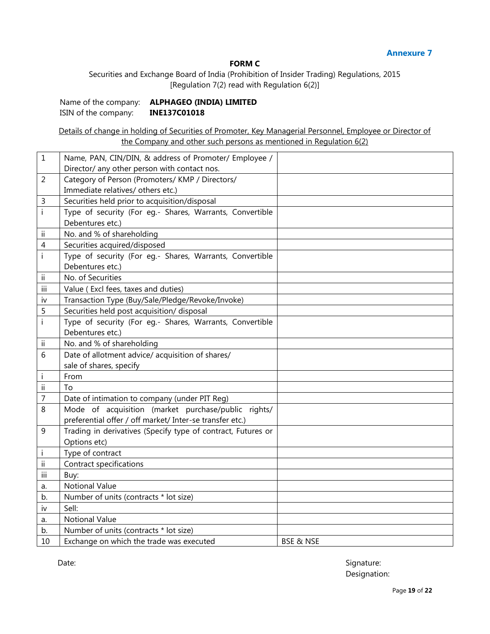#### **FORM C**

Securities and Exchange Board of India (Prohibition of Insider Trading) Regulations, 2015 [Regulation 7(2) read with Regulation 6(2)]

Name of the company: **ALPHAGEO (INDIA) LIMITED** ISIN of the company: **INE137C01018**

Details of change in holding of Securities of Promoter, Key Managerial Personnel, Employee or Director of the Company and other such persons as mentioned in Regulation 6(2)

| $1\,$        | Name, PAN, CIN/DIN, & address of Promoter/ Employee /        |                      |
|--------------|--------------------------------------------------------------|----------------------|
|              | Director/ any other person with contact nos.                 |                      |
| 2            | Category of Person (Promoters/KMP / Directors/               |                      |
|              | Immediate relatives/ others etc.)                            |                      |
| 3            | Securities held prior to acquisition/disposal                |                      |
| $\mathbf{i}$ | Type of security (For eg.- Shares, Warrants, Convertible     |                      |
|              | Debentures etc.)                                             |                      |
| ΪĹ           | No. and % of shareholding                                    |                      |
| 4            | Securities acquired/disposed                                 |                      |
| $\mathbf{i}$ | Type of security (For eg.- Shares, Warrants, Convertible     |                      |
|              | Debentures etc.)                                             |                      |
| ij           | No. of Securities                                            |                      |
| iii          | Value (Excl fees, taxes and duties)                          |                      |
| iv           | Transaction Type (Buy/Sale/Pledge/Revoke/Invoke)             |                      |
| 5            | Securities held post acquisition/ disposal                   |                      |
| i.           | Type of security (For eq.- Shares, Warrants, Convertible     |                      |
|              | Debentures etc.)                                             |                      |
| Ϊİ.          | No. and % of shareholding                                    |                      |
| 6            | Date of allotment advice/ acquisition of shares/             |                      |
|              | sale of shares, specify                                      |                      |
|              | From                                                         |                      |
| Ϊİ           | Tο                                                           |                      |
| 7            | Date of intimation to company (under PIT Reg)                |                      |
| 8            | Mode of acquisition (market purchase/public rights/          |                      |
|              | preferential offer / off market/ Inter-se transfer etc.)     |                      |
| 9            | Trading in derivatives (Specify type of contract, Futures or |                      |
|              | Options etc)                                                 |                      |
| $\mathbf{I}$ | Type of contract                                             |                      |
| ii           | <b>Contract specifications</b>                               |                      |
| iii          | Buy:                                                         |                      |
| a.           | <b>Notional Value</b>                                        |                      |
| b.           | Number of units (contracts * lot size)                       |                      |
| iv           | Sell:                                                        |                      |
| a.           | <b>Notional Value</b>                                        |                      |
| b.           | Number of units (contracts * lot size)                       |                      |
| 10           | Exchange on which the trade was executed                     | <b>BSE &amp; NSE</b> |

Date: Signature: Signature: Signature: Signature: Signature: Signature: Signature: Signature: Signature: Signature: Signature: Signature: Signature: Signature: Signature: Signature: Signature: Signature: Signature: Signatu Designation: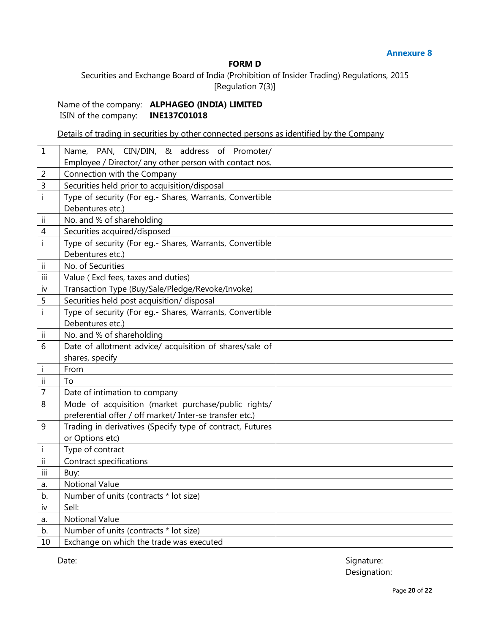#### **FORM D**

Securities and Exchange Board of India (Prohibition of Insider Trading) Regulations, 2015 [Regulation 7(3)]

Name of the company: **ALPHAGEO (INDIA) LIMITED** ISIN of the company: **INE137C01018**

Details of trading in securities by other connected persons as identified by the Company

| $1\,$ | Name, PAN, CIN/DIN, & address of Promoter/                |  |
|-------|-----------------------------------------------------------|--|
|       | Employee / Director/ any other person with contact nos.   |  |
| 2     | Connection with the Company                               |  |
| 3     | Securities held prior to acquisition/disposal             |  |
| i     | Type of security (For eg.- Shares, Warrants, Convertible  |  |
|       | Debentures etc.)                                          |  |
| Ϊİ.   | No. and % of shareholding                                 |  |
| 4     | Securities acquired/disposed                              |  |
| i     | Type of security (For eg.- Shares, Warrants, Convertible  |  |
|       | Debentures etc.)                                          |  |
| Ϊİ.   | No. of Securities                                         |  |
| iii   | Value (Excl fees, taxes and duties)                       |  |
| iv    | Transaction Type (Buy/Sale/Pledge/Revoke/Invoke)          |  |
| 5     | Securities held post acquisition/ disposal                |  |
| i.    | Type of security (For eg.- Shares, Warrants, Convertible  |  |
|       | Debentures etc.)                                          |  |
| Ϊİ    | No. and % of shareholding                                 |  |
| 6     | Date of allotment advice/ acquisition of shares/sale of   |  |
|       | shares, specify                                           |  |
|       | From                                                      |  |
| ii    | To                                                        |  |
| 7     | Date of intimation to company                             |  |
| 8     | Mode of acquisition (market purchase/public rights/       |  |
|       | preferential offer / off market/ Inter-se transfer etc.)  |  |
| 9     | Trading in derivatives (Specify type of contract, Futures |  |
|       | or Options etc)                                           |  |
| i     | Type of contract                                          |  |
| ii    | <b>Contract specifications</b>                            |  |
| iii   | Buy:                                                      |  |
| a.    | <b>Notional Value</b>                                     |  |
| b.    | Number of units (contracts * lot size)                    |  |
| iv    | Sell:                                                     |  |
| a.    | <b>Notional Value</b>                                     |  |
| b.    | Number of units (contracts * lot size)                    |  |
| 10    | Exchange on which the trade was executed                  |  |

Date: Signature: Signature: Signature: Signature: Signature: Signature: Signature: Signature: Signature: Signature: Signature: Signature: Signature: Signature: Signature: Signature: Signature: Signature: Signature: Signatu

Designation: